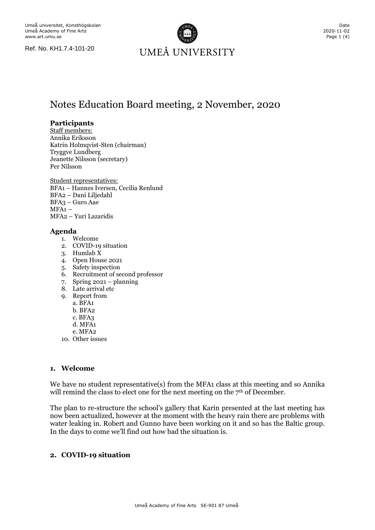

# Notes Education Board meeting, 2 November, 2020

## **Participants**

Staff members: Annika Eriksson Katrin Holmqvist-Sten (chairman) Tryggve Lundberg Jeanette Nilsson (secretary) Per Nilsson

Student representatives: BFA1 – Hannes Iversen, Cecilia Renlund BFA2 – Dani Liljedahl BFA3 – Guro Aae  $MFA1 -$ MFA2 – Yuri Lazaridis

## **Agenda**

- 1. Welcome
- 2. COVID-19 situation
- 3. Humlab  $\tilde{X}$
- 4. Open House 2021
- 5. Safety inspection
- 6. Recruitment of second professor
- 7. Spring 2021 planning
- 8. Late arrival etc
- 9. Report from
	- a. BFA1
		- b. BFA2
		- c. BFA3
		- d. MFA1
		- e. MFA2
- 10. Other issues

## **1. Welcome**

We have no student representative(s) from the MFA1 class at this meeting and so Annika will remind the class to elect one for the next meeting on the  $7<sup>th</sup>$  of December.

The plan to re-structure the school's gallery that Karin presented at the last meeting has now been actualized, however at the moment with the heavy rain there are problems with water leaking in. Robert and Gunno have been working on it and so has the Baltic group. In the days to come we'll find out how bad the situation is.

## **2. COVID-19 situation**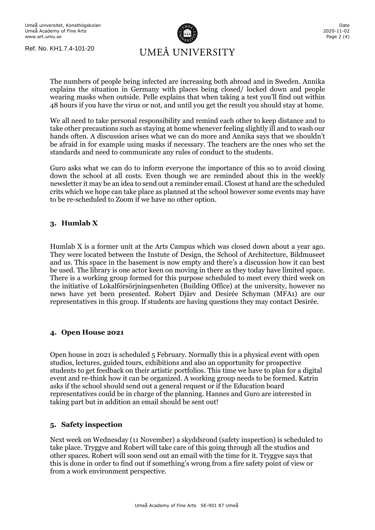

The numbers of people being infected are increasing both abroad and in Sweden. Annika explains the situation in Germany with places being closed/ locked down and people wearing masks when outside. Pelle explains that when taking a test you'll find out within 48 hours if you have the virus or not, and until you get the result you should stay at home.

We all need to take personal responsibility and remind each other to keep distance and to take other precautions such as staying at home whenever feeling slightly ill and to wash our hands often. A discussion arises what we can do more and Annika says that we shouldn't be afraid in for example using masks if necessary. The teachers are the ones who set the standards and need to communicate any rules of conduct to the students.

Guro asks what we can do to inform everyone the importance of this so to avoid closing down the school at all costs. Even though we are reminded about this in the weekly newsletter it may be an idea to send out a reminder email. Closest at hand are the scheduled crits which we hope can take place as planned at the school however some events may have to be re-scheduled to Zoom if we have no other option.

# **3. Humlab X**

Humlab X is a former unit at the Arts Campus which was closed down about a year ago. They were located between the Instute of Design, the School of Architecture, Bildmuseet and us. This space in the basement is now empty and there's a discussion how it can best be used. The library is one actor keen on moving in there as they today have limited space. There is a working group formed for this purpose scheduled to meet every third week on the initiative of Lokalförsörjningsenheten (Building Office) at the university, however no news have yet been presented. Robert Djärv and Desirée Schyman (MFA1) are our representatives in this group. If students are having questions they may contact Desirée.

## **4. Open House 2021**

Open house in 2021 is scheduled 5 February. Normally this is a physical event with open studios, lectures, guided tours, exhibitions and also an opportunity for prospective students to get feedback on their artistic portfolios. This time we have to plan for a digital event and re-think how it can be organized. A working group needs to be formed. Katrin asks if the school should send out a general request or if the Education board representatives could be in charge of the planning. Hannes and Guro are interested in taking part but in addition an email should be sent out!

## **5. Safety inspection**

Next week on Wednesday (11 November) a skyddsrond (safety inspection) is scheduled to take place. Tryggve and Robert will take care of this going through all the studios and other spaces. Robert will soon send out an email with the time for it. Tryggve says that this is done in order to find out if something's wrong from a fire safety point of view or from a work environment perspective.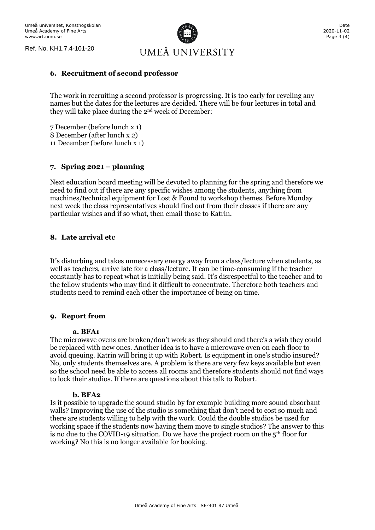UMEÅ UNIVERSITY

#### **6. Recruitment of second professor**

The work in recruiting a second professor is progressing. It is too early for reveling any names but the dates for the lectures are decided. There will be four lectures in total and they will take place during the 2nd week of December:

7 December (before lunch x 1) 8 December (after lunch x 2) 11 December (before lunch x 1)

## **7. Spring 2021 – planning**

Next education board meeting will be devoted to planning for the spring and therefore we need to find out if there are any specific wishes among the students, anything from machines/technical equipment for Lost & Found to workshop themes. Before Monday next week the class representatives should find out from their classes if there are any particular wishes and if so what, then email those to Katrin.

## **8. Late arrival etc**

It's disturbing and takes unnecessary energy away from a class/lecture when students, as well as teachers, arrive late for a class/lecture. It can be time-consuming if the teacher constantly has to repeat what is initially being said. It's disrespectful to the teacher and to the fellow students who may find it difficult to concentrate. Therefore both teachers and students need to remind each other the importance of being on time.

## **9. Report from**

#### **a. BFA1**

The microwave ovens are broken/don't work as they should and there's a wish they could be replaced with new ones. Another idea is to have a microwave oven on each floor to avoid queuing. Katrin will bring it up with Robert. Is equipment in one's studio insured? No, only students themselves are. A problem is there are very few keys available but even so the school need be able to access all rooms and therefore students should not find ways to lock their studios. If there are questions about this talk to Robert.

#### **b. BFA2**

Is it possible to upgrade the sound studio by for example building more sound absorbant walls? Improving the use of the studio is something that don't need to cost so much and there are students willing to help with the work. Could the double studios be used for working space if the students now having them move to single studios? The answer to this is no due to the COVID-19 situation. Do we have the project room on the  $5<sup>th</sup>$  floor for working? No this is no longer available for booking.